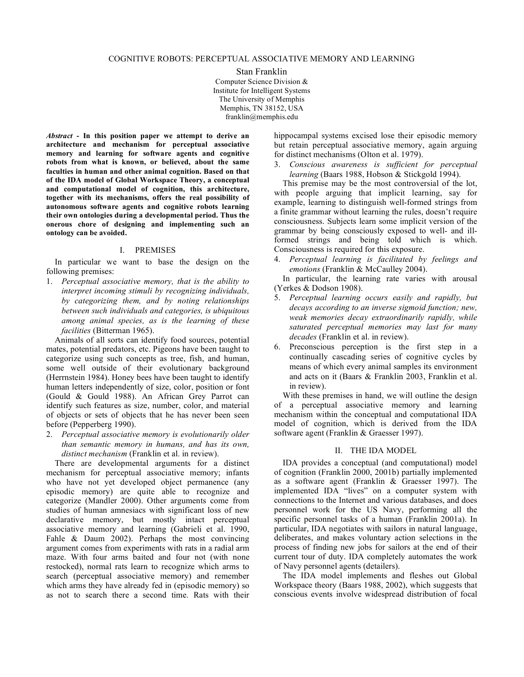#### COGNITIVE ROBOTS: PERCEPTUAL ASSOCIATIVE MEMORY AND LEARNING

Stan Franklin Computer Science Division & Institute for Intelligent Systems The University of Memphis Memphis, TN 38152, USA franklin@memphis.edu

*Abstract* **- In this position paper we attempt to derive an architecture and mechanism for perceptual associative memory and learning for software agents and cognitive robots from what is known, or believed, about the same faculties in human and other animal cognition. Based on that of the IDA model of Global Workspace Theory, a conceptual and computational model of cognition, this architecture, together with its mechanisms, offers the real possibility of autonomous software agents and cognitive robots learning their own ontologies during a developmental period. Thus the onerous chore of designing and implementing such an ontology can be avoided.**

#### I. PREMISES

In particular we want to base the design on the following premises:

1. *Perceptual associative memory, that is the ability to interpret incoming stimuli by recognizing individuals, by categorizing them, and by noting relationships between such individuals and categories, is ubiquitous among animal species, as is the learning of these facilities* (Bitterman 1965).

Animals of all sorts can identify food sources, potential mates, potential predators, etc. Pigeons have been taught to categorize using such concepts as tree, fish, and human, some well outside of their evolutionary background (Herrnstein 1984). Honey bees have been taught to identify human letters independently of size, color, position or font (Gould & Gould 1988). An African Grey Parrot can identify such features as size, number, color, and material of objects or sets of objects that he has never been seen before (Pepperberg 1990).

2. *Perceptual associative memory is evolutionarily older than semantic memory in humans, and has its own, distinct mechanism* (Franklin et al. in review).

There are developmental arguments for a distinct mechanism for perceptual associative memory; infants who have not yet developed object permanence (any episodic memory) are quite able to recognize and categorize (Mandler 2000). Other arguments come from studies of human amnesiacs with significant loss of new declarative memory, but mostly intact perceptual associative memory and learning (Gabrieli et al. 1990, Fahle & Daum 2002). Perhaps the most convincing argument comes from experiments with rats in a radial arm maze. With four arms baited and four not (with none restocked), normal rats learn to recognize which arms to search (perceptual associative memory) and remember which arms they have already fed in (episodic memory) so as not to search there a second time. Rats with their

hippocampal systems excised lose their episodic memory but retain perceptual associative memory, again arguing for distinct mechanisms (Olton et al. 1979).

3. *Conscious awareness is sufficient for perceptual learning* (Baars 1988, Hobson & Stickgold 1994).

This premise may be the most controversial of the lot, with people arguing that implicit learning, say for example, learning to distinguish well-formed strings from a finite grammar without learning the rules, doesn't require consciousness. Subjects learn some implicit version of the grammar by being consciously exposed to well- and illformed strings and being told which is which. Consciousness is required for this exposure.

4. *Perceptual learning is facilitated by feelings and emotions* (Franklin & McCaulley 2004).

In particular, the learning rate varies with arousal (Yerkes & Dodson 1908).

- 5. *Perceptual learning occurs easily and rapidly, but decays according to an inverse sigmoid function; new, weak memories decay extraordinarily rapidly, while saturated perceptual memories may last for many decades* (Franklin et al. in review).
- 6. Preconscious perception is the first step in a continually cascading series of cognitive cycles by means of which every animal samples its environment and acts on it (Baars & Franklin 2003, Franklin et al. in review).

With these premises in hand, we will outline the design of a perceptual associative memory and learning mechanism within the conceptual and computational IDA model of cognition, which is derived from the IDA software agent (Franklin & Graesser 1997).

#### II. THE IDA MODEL

IDA provides a conceptual (and computational) model of cognition (Franklin 2000, 2001b) partially implemented as a software agent (Franklin & Graesser 1997). The implemented IDA "lives" on a computer system with connections to the Internet and various databases, and does personnel work for the US Navy, performing all the specific personnel tasks of a human (Franklin 2001a). In particular, IDA negotiates with sailors in natural language, deliberates, and makes voluntary action selections in the process of finding new jobs for sailors at the end of their current tour of duty. IDA completely automates the work of Navy personnel agents (detailers).

The IDA model implements and fleshes out Global Workspace theory (Baars 1988, 2002), which suggests that conscious events involve widespread distribution of focal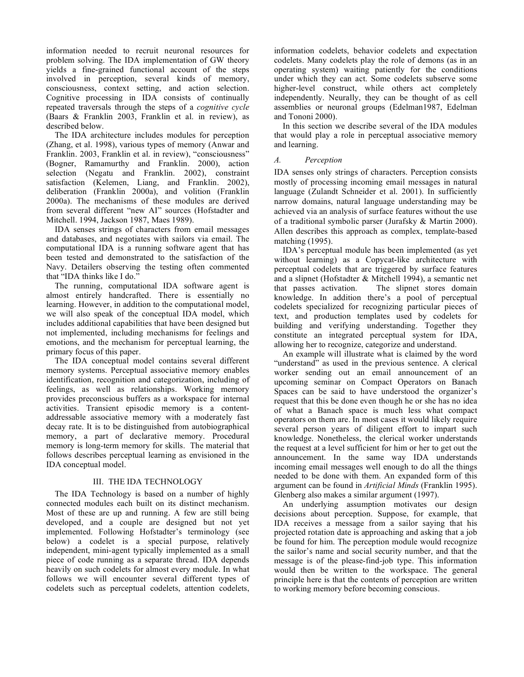information needed to recruit neuronal resources for problem solving. The IDA implementation of GW theory yields a fine-grained functional account of the steps involved in perception, several kinds of memory, consciousness, context setting, and action selection. Cognitive processing in IDA consists of continually repeated traversals through the steps of a *cognitive cycle* (Baars & Franklin 2003, Franklin et al. in review), as described below.

The IDA architecture includes modules for perception (Zhang, et al. 1998), various types of memory (Anwar and Franklin. 2003, Franklin et al. in review), "consciousness" (Bogner, Ramamurthy and Franklin. 2000), action selection (Negatu and Franklin. 2002), constraint satisfaction (Kelemen, Liang, and Franklin. 2002), deliberation (Franklin 2000a), and volition (Franklin 2000a). The mechanisms of these modules are derived from several different "new AI" sources (Hofstadter and Mitchell. 1994, Jackson 1987, Maes 1989).

IDA senses strings of characters from email messages and databases, and negotiates with sailors via email. The computational IDA is a running software agent that has been tested and demonstrated to the satisfaction of the Navy. Detailers observing the testing often commented that "IDA thinks like I do."

The running, computational IDA software agent is almost entirely handcrafted. There is essentially no learning. However, in addition to the computational model, we will also speak of the conceptual IDA model, which includes additional capabilities that have been designed but not implemented, including mechanisms for feelings and emotions, and the mechanism for perceptual learning, the primary focus of this paper.

The IDA conceptual model contains several different memory systems. Perceptual associative memory enables identification, recognition and categorization, including of feelings, as well as relationships. Working memory provides preconscious buffers as a workspace for internal activities. Transient episodic memory is a contentaddressable associative memory with a moderately fast decay rate. It is to be distinguished from autobiographical memory, a part of declarative memory. Procedural memory is long-term memory for skills. The material that follows describes perceptual learning as envisioned in the IDA conceptual model.

## III. THE IDA TECHNOLOGY

The IDA Technology is based on a number of highly connected modules each built on its distinct mechanism. Most of these are up and running. A few are still being developed, and a couple are designed but not yet implemented. Following Hofstadter's terminology (see below) a codelet is a special purpose, relatively independent, mini-agent typically implemented as a small piece of code running as a separate thread. IDA depends heavily on such codelets for almost every module. In what follows we will encounter several different types of codelets such as perceptual codelets, attention codelets,

information codelets, behavior codelets and expectation codelets. Many codelets play the role of demons (as in an operating system) waiting patiently for the conditions under which they can act. Some codelets subserve some higher-level construct, while others act completely independently. Neurally, they can be thought of as cell assemblies or neuronal groups (Edelman1987, Edelman and Tononi 2000).

In this section we describe several of the IDA modules that would play a role in perceptual associative memory and learning.

# *A. Perception*

IDA senses only strings of characters. Perception consists mostly of processing incoming email messages in natural language (Zulandt Schneider et al. 2001). In sufficiently narrow domains, natural language understanding may be achieved via an analysis of surface features without the use of a traditional symbolic parser (Jurafsky & Martin 2000). Allen describes this approach as complex, template-based matching (1995).

IDA's perceptual module has been implemented (as yet without learning) as a Copycat-like architecture with perceptual codelets that are triggered by surface features and a slipnet (Hofstadter & Mitchell 1994), a semantic net that passes activation. The slipnet stores domain knowledge. In addition there's a pool of perceptual codelets specialized for recognizing particular pieces of text, and production templates used by codelets for building and verifying understanding. Together they constitute an integrated perceptual system for IDA, allowing her to recognize, categorize and understand.

An example will illustrate what is claimed by the word "understand" as used in the previous sentence. A clerical worker sending out an email announcement of an upcoming seminar on Compact Operators on Banach Spaces can be said to have understood the organizer's request that this be done even though he or she has no idea of what a Banach space is much less what compact operators on them are. In most cases it would likely require several person years of diligent effort to impart such knowledge. Nonetheless, the clerical worker understands the request at a level sufficient for him or her to get out the announcement. In the same way IDA understands incoming email messages well enough to do all the things needed to be done with them. An expanded form of this argument can be found in *Artificial Minds* (Franklin 1995). Glenberg also makes a similar argument (1997).

An underlying assumption motivates our design decisions about perception. Suppose, for example, that IDA receives a message from a sailor saying that his projected rotation date is approaching and asking that a job be found for him. The perception module would recognize the sailor's name and social security number, and that the message is of the please-find-job type. This information would then be written to the workspace. The general principle here is that the contents of perception are written to working memory before becoming conscious.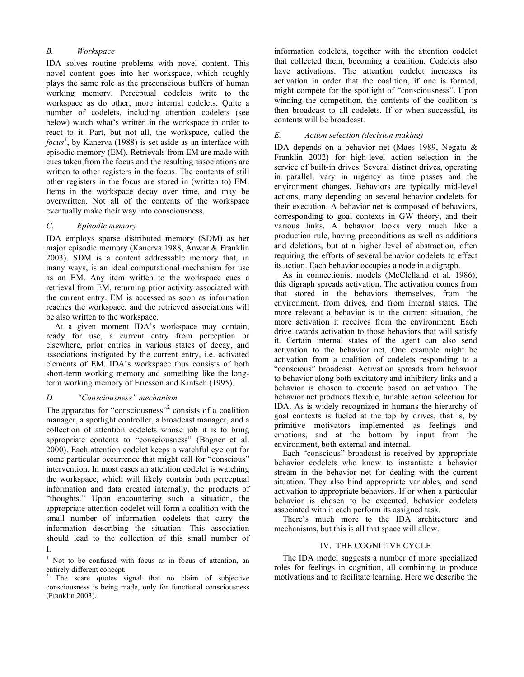# *B. Workspace*

IDA solves routine problems with novel content. This novel content goes into her workspace, which roughly plays the same role as the preconscious buffers of human working memory. Perceptual codelets write to the workspace as do other, more internal codelets. Quite a number of codelets, including attention codelets (see below) watch what's written in the workspace in order to react to it. Part, but not all, the workspace, called the *focus 1* , by Kanerva (1988) is set aside as an interface with episodic memory (EM). Retrievals from EM are made with cues taken from the focus and the resulting associations are written to other registers in the focus. The contents of still other registers in the focus are stored in (written to) EM. Items in the workspace decay over time, and may be overwritten. Not all of the contents of the workspace eventually make their way into consciousness.

# *C. Episodic memory*

IDA employs sparse distributed memory (SDM) as her major episodic memory (Kanerva 1988, Anwar & Franklin 2003). SDM is a content addressable memory that, in many ways, is an ideal computational mechanism for use as an EM. Any item written to the workspace cues a retrieval from EM, returning prior activity associated with the current entry. EM is accessed as soon as information reaches the workspace, and the retrieved associations will be also written to the workspace.

At a given moment IDA's workspace may contain, ready for use, a current entry from perception or elsewhere, prior entries in various states of decay, and associations instigated by the current entry, i.e. activated elements of EM. IDA's workspace thus consists of both short-term working memory and something like the longterm working memory of Ericsson and Kintsch (1995).

## *D. "Consciousness" mechanism*

The apparatus for "consciousness"<sup>2</sup> consists of a coalition manager, a spotlight controller, a broadcast manager, and a collection of attention codelets whose job it is to bring appropriate contents to "consciousness" (Bogner et al. 2000). Each attention codelet keeps a watchful eye out for some particular occurrence that might call for "conscious" intervention. In most cases an attention codelet is watching the workspace, which will likely contain both perceptual information and data created internally, the products of "thoughts." Upon encountering such a situation, the appropriate attention codelet will form a coalition with the small number of information codelets that carry the information describing the situation. This association should lead to the collection of this small number of information codelets, together with the attention codelet that collected them, becoming a coalition. Codelets also have activations. The attention codelet increases its activation in order that the coalition, if one is formed, might compete for the spotlight of "consciousness". Upon winning the competition, the contents of the coalition is then broadcast to all codelets. If or when successful, its contents will be broadcast.

# *E. Action selection (decision making)*

IDA depends on a behavior net (Maes 1989, Negatu & Franklin 2002) for high-level action selection in the service of built-in drives. Several distinct drives, operating in parallel, vary in urgency as time passes and the environment changes. Behaviors are typically mid-level actions, many depending on several behavior codelets for their execution. A behavior net is composed of behaviors, corresponding to goal contexts in GW theory, and their various links. A behavior looks very much like a production rule, having preconditions as well as additions and deletions, but at a higher level of abstraction, often requiring the efforts of several behavior codelets to effect its action. Each behavior occupies a node in a digraph.

As in connectionist models (McClelland et al. 1986), this digraph spreads activation. The activation comes from that stored in the behaviors themselves, from the environment, from drives, and from internal states. The more relevant a behavior is to the current situation, the more activation it receives from the environment. Each drive awards activation to those behaviors that will satisfy it. Certain internal states of the agent can also send activation to the behavior net. One example might be activation from a coalition of codelets responding to a "conscious" broadcast. Activation spreads from behavior to behavior along both excitatory and inhibitory links and a behavior is chosen to execute based on activation. The behavior net produces flexible, tunable action selection for IDA. As is widely recognized in humans the hierarchy of goal contexts is fueled at the top by drives, that is, by primitive motivators implemented as feelings and emotions, and at the bottom by input from the environment, both external and internal*.*

Each "conscious" broadcast is received by appropriate behavior codelets who know to instantiate a behavior stream in the behavior net for dealing with the current situation. They also bind appropriate variables, and send activation to appropriate behaviors. If or when a particular behavior is chosen to be executed, behavior codelets associated with it each perform its assigned task.

There's much more to the IDA architecture and mechanisms, but this is all that space will allow.

## IV. THE COGNITIVE CYCLE

The IDA model suggests a number of more specialized roles for feelings in cognition, all combining to produce motivations and to facilitate learning. Here we describe the

I.  $\frac{1}{1}$  Not to be confused with focus as in focus of attention, an entirely different concept.

The scare quotes signal that no claim of subjective consciousness is being made, only for functional consciousness (Franklin 2003).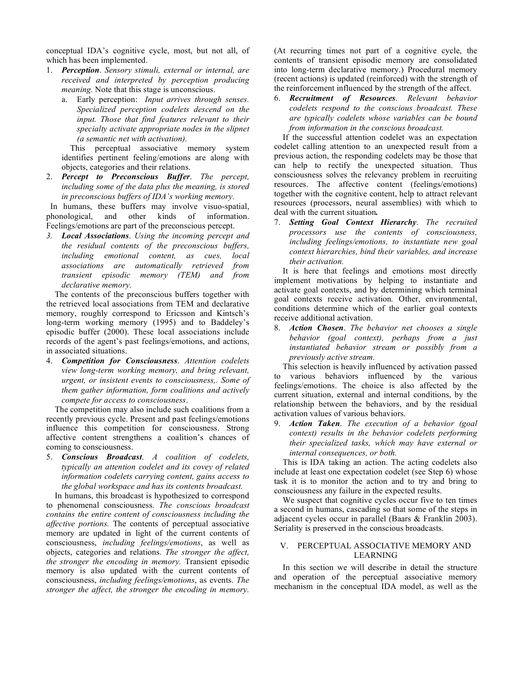conceptual IDA's cognitive cycle, most, but not all, of which has been implemented.

- 1. *Perception*. *Sensory stimuli, external or internal, are received and interpreted by perception producing meaning.* Note that this stage is unconscious.
	- a. Early perception: *Input arrives through senses. Specialized perception codelets descend on the input. Those that find features relevant to their specialty activate appropriate nodes in the slipnet (a semantic net with activation).*

This perceptual associative memory system identifies pertinent feeling/emotions are along with objects, categories and their relations.

2. *Percept to Preconscious Buffer*. *The percept, including some of the data plus the meaning, is stored in preconscious buffers of IDA's working memory.*

In humans, these buffers may involve visuo-spatial, phonological, and other kinds of information. Feelings/emotions are part of the preconscious percept.

*3. Local Associations*. *Using the incoming percept and the residual contents of the preconscious buffers, including emotional content, as cues, local associations are automatically retrieved from transient episodic memory (TEM) and from declarative memory.*

The contents of the preconscious buffers together with the retrieved local associations from TEM and declarative memory, roughly correspond to Ericsson and Kintsch's long-term working memory (1995) and to Baddeley's episodic buffer (2000). These local associations include records of the agent's past feelings/emotions, and actions, in associated situations.

4. *Competition for Consciousness*. *Attention codelets view long-term working memory, and bring relevant, urgent, or insistent events to consciousness,. Some of them gather information, form coalitions and actively compete for access to consciousness*.

The competition may also include such coalitions from a recently previous cycle. Present and past feelings/emotions influence this competition for consciousness. Strong affective content strengthens a coalition's chances of coming to consciousness.

5. *Conscious Broadcast*. *A coalition of codelets, typically an attention codelet and its covey of related information codelets carrying content, gains access to the global workspace and has its contents broadcast.*

In humans, this broadcast is hypothesized to correspond to phenomenal consciousness. *The conscious broadcast contains the entire content of consciousness including the affective portions.* The contents of perceptual associative memory are updated in light of the current contents of consciousness, *including feelings/emotions*, as well as objects, categories and relations. *The stronger the affect, the stronger the encoding in memory.* Transient episodic memory is also updated with the current contents of consciousness, *including feelings/emotions*, as events. *The stronger the affect, the stronger the encoding in memory.*

(At recurring times not part of a cognitive cycle, the contents of transient episodic memory are consolidated into long-term declarative memory.) Procedural memory (recent actions) is updated (reinforced) with the strength of the reinforcement influenced by the strength of the affect.

6. *Recruitment of Resources*. *Relevant behavior codelets respond to the conscious broadcast. These are typically codelets whose variables can be bound from information in the conscious broadcast.*

If the successful attention codelet was an expectation codelet calling attention to an unexpected result from a previous action, the responding codelets may be those that can help to rectify the unexpected situation. Thus consciousness solves the relevancy problem in recruiting resources. The affective content (feelings/emotions) together with the cognitive content, help to attract relevant resources (processors, neural assemblies) with which to deal with the current situation*.*

7. *Setting Goal Context Hierarchy*. *The recruited processors use the contents of consciousness, including feelings/emotions, to instantiate new goal context hierarchies, bind their variables, and increase their activation.*

It is here that feelings and emotions most directly implement motivations by helping to instantiate and activate goal contexts, and by determining which terminal goal contexts receive activation*.* Other, environmental, conditions determine which of the earlier goal contexts receive additional activation.

8. *Action Chosen*. *The behavior net chooses a single behavior (goal context), perhaps from a just instantiated behavior stream or possibly from a previously active stream.*

This selection is heavily influenced by activation passed to various behaviors influenced by the various feelings/emotions. The choice is also affected by the current situation, external and internal conditions, by the relationship between the behaviors, and by the residual activation values of various behaviors.

9. *Action Taken*. *The execution of a behavior (goal context) results in the behavior codelets performing their specialized tasks, which may have external or internal consequences, or both.*

This is IDA taking an action. The acting codelets also include at least one expectation codelet (see Step 6) whose task it is to monitor the action and to try and bring to consciousness any failure in the expected results.

We suspect that cognitive cycles occur five to ten times a second in humans, cascading so that some of the steps in adjacent cycles occur in parallel (Baars & Franklin 2003). Seriality is preserved in the conscious broadcasts.

#### V. PERCEPTUAL ASSOCIATIVE MEMORY AND LEARNING

In this section we will describe in detail the structure and operation of the perceptual associative memory mechanism in the conceptual IDA model, as well as the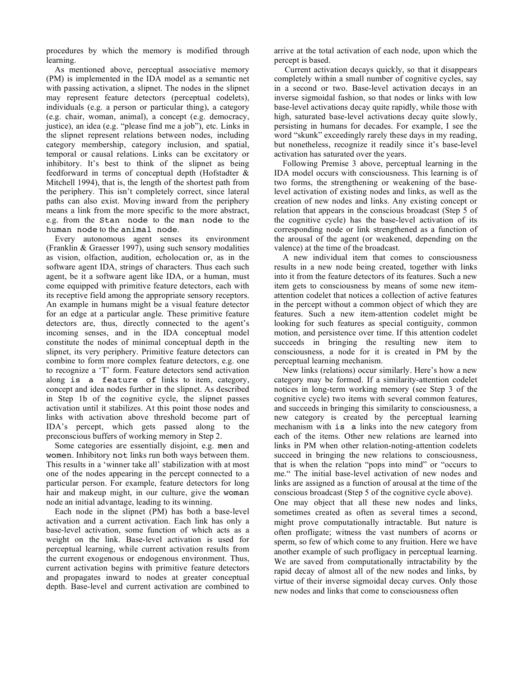procedures by which the memory is modified through learning.

As mentioned above, perceptual associative memory (PM) is implemented in the IDA model as a semantic net with passing activation, a slipnet. The nodes in the slipnet may represent feature detectors (perceptual codelets), individuals (e.g. a person or particular thing), a category (e.g. chair, woman, animal), a concept (e.g. democracy, justice), an idea (e.g. "please find me a job"), etc. Links in the slipnet represent relations between nodes, including category membership, category inclusion, and spatial, temporal or causal relations. Links can be excitatory or inhibitory. It's best to think of the slipnet as being feedforward in terms of conceptual depth (Hofstadter & Mitchell 1994), that is, the length of the shortest path from the periphery. This isn't completely correct, since lateral paths can also exist. Moving inward from the periphery means a link from the more specific to the more abstract, e.g. from the Stan node to the man node to the human node to the animal node.

Every autonomous agent senses its environment (Franklin & Graesser 1997), using such sensory modalities as vision, olfaction, audition, echolocation or, as in the software agent IDA, strings of characters. Thus each such agent, be it a software agent like IDA, or a human, must come equipped with primitive feature detectors, each with its receptive field among the appropriate sensory receptors. An example in humans might be a visual feature detector for an edge at a particular angle. These primitive feature detectors are, thus, directly connected to the agent's incoming senses, and in the IDA conceptual model constitute the nodes of minimal conceptual depth in the slipnet, its very periphery. Primitive feature detectors can combine to form more complex feature detectors, e.g. one to recognize a 'T' form. Feature detectors send activation along is a feature of links to item, category, concept and idea nodes further in the slipnet. As described in Step 1b of the cognitive cycle, the slipnet passes activation until it stabilizes. At this point those nodes and links with activation above threshold become part of IDA's percept, which gets passed along to the preconscious buffers of working memory in Step 2.

Some categories are essentially disjoint, e.g. men and women. Inhibitory not links run both ways between them. This results in a 'winner take all' stabilization with at most one of the nodes appearing in the percept connected to a particular person. For example, feature detectors for long hair and makeup might, in our culture, give the woman node an initial advantage, leading to its winning.

Each node in the slipnet (PM) has both a base-level activation and a current activation. Each link has only a base-level activation, some function of which acts as a weight on the link. Base-level activation is used for perceptual learning, while current activation results from the current exogenous or endogenous environment. Thus, current activation begins with primitive feature detectors and propagates inward to nodes at greater conceptual depth. Base-level and current activation are combined to arrive at the total activation of each node, upon which the percept is based.

Current activation decays quickly, so that it disappears completely within a small number of cognitive cycles, say in a second or two. Base-level activation decays in an inverse sigmoidal fashion, so that nodes or links with low base-level activations decay quite rapidly, while those with high, saturated base-level activations decay quite slowly, persisting in humans for decades. For example, I see the word "skunk" exceedingly rarely these days in my reading, but nonetheless, recognize it readily since it's base-level activation has saturated over the years.

Following Premise 3 above, perceptual learning in the IDA model occurs with consciousness. This learning is of two forms, the strengthening or weakening of the baselevel activation of existing nodes and links, as well as the creation of new nodes and links. Any existing concept or relation that appears in the conscious broadcast (Step 5 of the cognitive cycle) has the base-level activation of its corresponding node or link strengthened as a function of the arousal of the agent (or weakened, depending on the valence) at the time of the broadcast.

A new individual item that comes to consciousness results in a new node being created, together with links into it from the feature detectors of its features. Such a new item gets to consciousness by means of some new itemattention codelet that notices a collection of active features in the percept without a common object of which they are features. Such a new item-attention codelet might be looking for such features as special contiguity, common motion, and persistence over time. If this attention codelet succeeds in bringing the resulting new item to consciousness, a node for it is created in PM by the perceptual learning mechanism.

New links (relations) occur similarly. Here's how a new category may be formed. If a similarity-attention codelet notices in long-term working memory (see Step 3 of the cognitive cycle) two items with several common features, and succeeds in bringing this similarity to consciousness, a new category is created by the perceptual learning mechanism with is a links into the new category from each of the items. Other new relations are learned into links in PM when other relation-noting-attention codelets succeed in bringing the new relations to consciousness, that is when the relation "pops into mind" or "occurs to me." The initial base-level activation of new nodes and links are assigned as a function of arousal at the time of the conscious broadcast (Step 5 of the cognitive cycle above).

One may object that all these new nodes and links, sometimes created as often as several times a second, might prove computationally intractable. But nature is often profligate; witness the vast numbers of acorns or sperm, so few of which come to any fruition. Here we have another example of such profligacy in perceptual learning. We are saved from computationally intractability by the rapid decay of almost all of the new nodes and links, by virtue of their inverse sigmoidal decay curves. Only those new nodes and links that come to consciousness often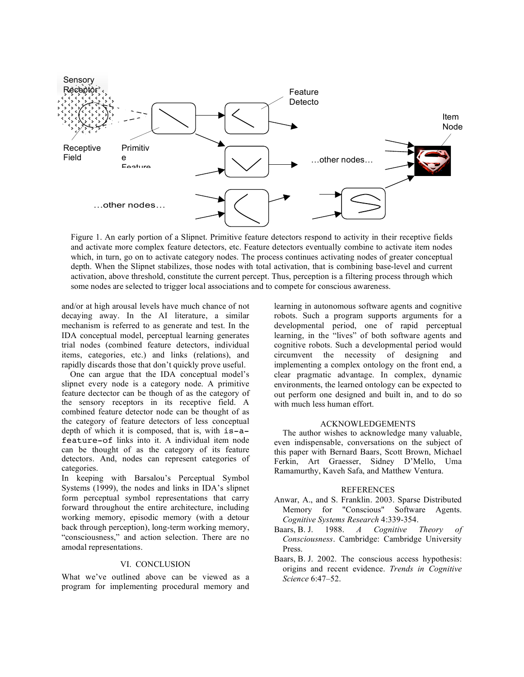

Figure 1. An early portion of a Slipnet. Primitive feature detectors respond to activity in their receptive fields and activate more complex feature detectors, etc. Feature detectors eventually combine to activate item nodes which, in turn, go on to activate category nodes. The process continues activating nodes of greater conceptual depth. When the Slipnet stabilizes, those nodes with total activation, that is combining base-level and current activation, above threshold, constitute the current percept. Thus, perception is a filtering process through which some nodes are selected to trigger local associations and to compete for conscious awareness.

and/or at high arousal levels have much chance of not decaying away. In the AI literature, a similar mechanism is referred to as generate and test. In the IDA conceptual model, perceptual learning generates trial nodes (combined feature detectors, individual items, categories, etc.) and links (relations), and rapidly discards those that don't quickly prove useful.

One can argue that the IDA conceptual model's slipnet every node is a category node. A primitive feature dectector can be though of as the category of the sensory receptors in its receptive field. A combined feature detector node can be thought of as the category of feature detectors of less conceptual depth of which it is composed, that is, with is-afeature-of links into it. A individual item node can be thought of as the category of its feature detectors. And, nodes can represent categories of categories.

In keeping with Barsalou's Perceptual Symbol Systems (1999), the nodes and links in IDA's slipnet form perceptual symbol representations that carry forward throughout the entire architecture, including working memory, episodic memory (with a detour back through perception), long-term working memory, "consciousness," and action selection. There are no amodal representations.

## VI. CONCLUSION

What we've outlined above can be viewed as a program for implementing procedural memory and learning in autonomous software agents and cognitive robots. Such a program supports arguments for a developmental period, one of rapid perceptual learning, in the "lives" of both software agents and cognitive robots. Such a developmental period would circumvent the necessity of designing and implementing a complex ontology on the front end, a clear pragmatic advantage. In complex, dynamic environments, the learned ontology can be expected to out perform one designed and built in, and to do so with much less human effort.

### ACKNOWLEDGEMENTS

The author wishes to acknowledge many valuable, even indispensable, conversations on the subject of this paper with Bernard Baars, Scott Brown, Michael Ferkin, Art Graesser, Sidney D'Mello, Uma Ramamurthy, Kaveh Safa, and Matthew Ventura.

#### REFERENCES

- Anwar, A., and S. Franklin. 2003. Sparse Distributed Memory for "Conscious" Software Agents. *Cognitive Systems Research* 4:339-354.
- Baars, B. J. 1988. *A Cognitive Theory of Consciousness*. Cambridge: Cambridge University Press.
- Baars, B. J. 2002. The conscious access hypothesis: origins and recent evidence. *Trends in Cognitive Science* 6:47–52.